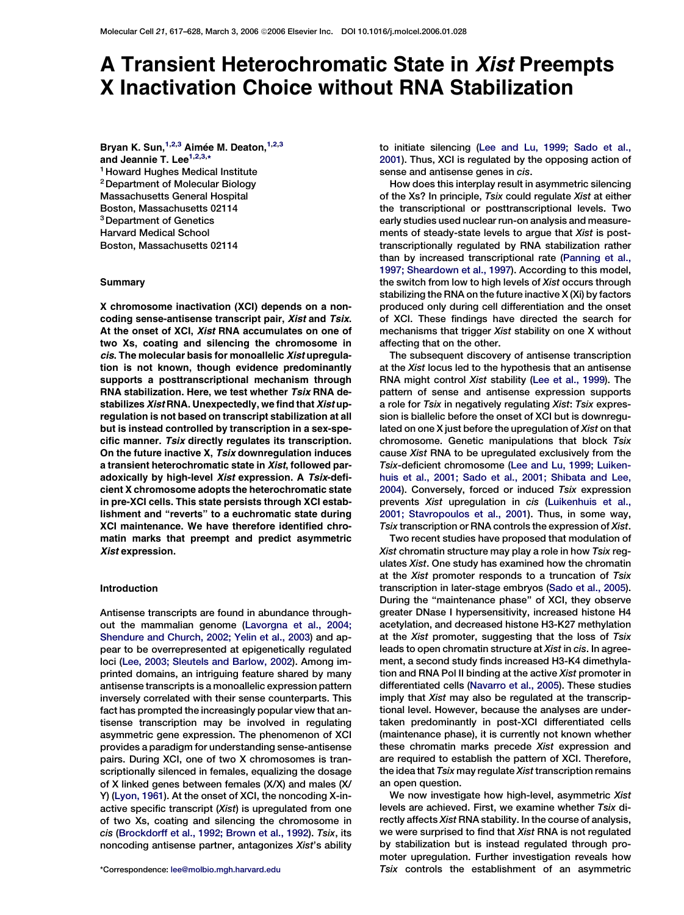# A Transient Heterochromatic State in Xist Preempts X Inactivation Choice without RNA Stabilization

Bryan K. Sun,  $1,2,3$  Aimée M. Deaton,  $1,2,3$ and Jeannie T. Lee<sup>1,2,3,\*</sup> <sup>1</sup> Howard Hughes Medical Institute

2Department of Molecular Biology Massachusetts General Hospital Boston, Massachusetts 02114 3Department of Genetics Harvard Medical School Boston, Massachusetts 02114

## **Summary**

X chromosome inactivation (XCI) depends on a noncoding sense-antisense transcript pair, Xist and Tsix. At the onset of XCI, Xist RNA accumulates on one of two Xs, coating and silencing the chromosome in cis. The molecular basis for monoallelic Xist upregulation is not known, though evidence predominantly supports a posttranscriptional mechanism through RNA stabilization. Here, we test whether Tsix RNA destabilizes Xist RNA. Unexpectedly, we find that Xist upregulation is not based on transcript stabilization at all but is instead controlled by transcription in a sex-specific manner. Tsix directly regulates its transcription. On the future inactive X, Tsix downregulation induces a transient heterochromatic state in Xist, followed paradoxically by high-level Xist expression. A Tsix-deficient X chromosome adopts the heterochromatic state in pre-XCI cells. This state persists through XCI establishment and ''reverts'' to a euchromatic state during XCI maintenance. We have therefore identified chromatin marks that preempt and predict asymmetric Xist expression.

## Introduction

Antisense transcripts are found in abundance throughout the mammalian genome ([Lavorgna et al., 2004;](#page-10-0) [Shendure and Church, 2002; Yelin et al., 2003](#page-10-0)) and appear to be overrepresented at epigenetically regulated loci ([Lee, 2003; Sleutels and Barlow, 2002](#page-10-0)). Among imprinted domains, an intriguing feature shared by many antisense transcripts is a monoallelic expression pattern inversely correlated with their sense counterparts. This fact has prompted the increasingly popular view that antisense transcription may be involved in regulating asymmetric gene expression. The phenomenon of XCI provides a paradigm for understanding sense-antisense pairs. During XCI, one of two X chromosomes is transcriptionally silenced in females, equalizing the dosage of X linked genes between females (X/X) and males (X/ Y) ([Lyon, 1961](#page-10-0)). At the onset of XCI, the noncoding X-inactive specific transcript (Xist) is upregulated from one of two Xs, coating and silencing the chromosome in cis ([Brockdorff et al., 1992; Brown et al., 1992\)](#page-10-0). Tsix, its noncoding antisense partner, antagonizes Xist's ability to initiate silencing ([Lee and Lu, 1999; Sado et al.,](#page-10-0) [2001\)](#page-10-0). Thus, XCI is regulated by the opposing action of sense and antisense genes in cis.

How does this interplay result in asymmetric silencing of the Xs? In principle, Tsix could regulate Xist at either the transcriptional or posttranscriptional levels. Two early studies used nuclear run-on analysis and measurements of steady-state levels to argue that Xist is posttranscriptionally regulated by RNA stabilization rather than by increased transcriptional rate ([Panning et al.,](#page-10-0) [1997; Sheardown et al., 1997](#page-10-0)). According to this model, the switch from low to high levels of Xist occurs through stabilizing the RNA on the future inactive X (Xi) by factors produced only during cell differentiation and the onset of XCI. These findings have directed the search for mechanisms that trigger Xist stability on one X without affecting that on the other.

The subsequent discovery of antisense transcription at the Xist locus led to the hypothesis that an antisense RNA might control Xist stability ([Lee et al., 1999](#page-10-0)). The pattern of sense and antisense expression supports a role for Tsix in negatively regulating Xist: Tsix expression is biallelic before the onset of XCI but is downregulated on one X just before the upregulation of Xist on that chromosome. Genetic manipulations that block Tsix cause Xist RNA to be upregulated exclusively from the Tsix-deficient chromosome ([Lee and Lu, 1999; Luiken](#page-10-0)[huis et al., 2001; Sado et al., 2001; Shibata and Lee,](#page-10-0) [2004\)](#page-10-0). Conversely, forced or induced Tsix expression prevents Xist upregulation in cis ([Luikenhuis et al.,](#page-10-0) [2001; Stavropoulos et al., 2001](#page-10-0)). Thus, in some way, Tsix transcription or RNA controls the expression of Xist.

Two recent studies have proposed that modulation of Xist chromatin structure may play a role in how Tsix regulates Xist. One study has examined how the chromatin at the Xist promoter responds to a truncation of Tsix transcription in later-stage embryos ([Sado et al., 2005](#page-10-0)). During the ''maintenance phase'' of XCI, they observe greater DNase I hypersensitivity, increased histone H4 acetylation, and decreased histone H3-K27 methylation at the Xist promoter, suggesting that the loss of Tsix leads to open chromatin structure at Xist in cis. In agreement, a second study finds increased H3-K4 dimethylation and RNA Pol II binding at the active Xist promoter in differentiated cells [\(Navarro et al., 2005](#page-10-0)). These studies imply that Xist may also be regulated at the transcriptional level. However, because the analyses are undertaken predominantly in post-XCI differentiated cells (maintenance phase), it is currently not known whether these chromatin marks precede Xist expression and are required to establish the pattern of XCI. Therefore, the idea that Tsix may regulate Xist transcription remains an open question.

We now investigate how high-level, asymmetric Xist levels are achieved. First, we examine whether Tsix directly affects Xist RNA stability. In the course of analysis, we were surprised to find that Xist RNA is not regulated by stabilization but is instead regulated through promoter upregulation. Further investigation reveals how \*Correspondence: [lee@molbio.mgh.harvard.edu](mailto:lee@molbio.mgh.harvard.edu) Tsix controls the establishment of an asymmetric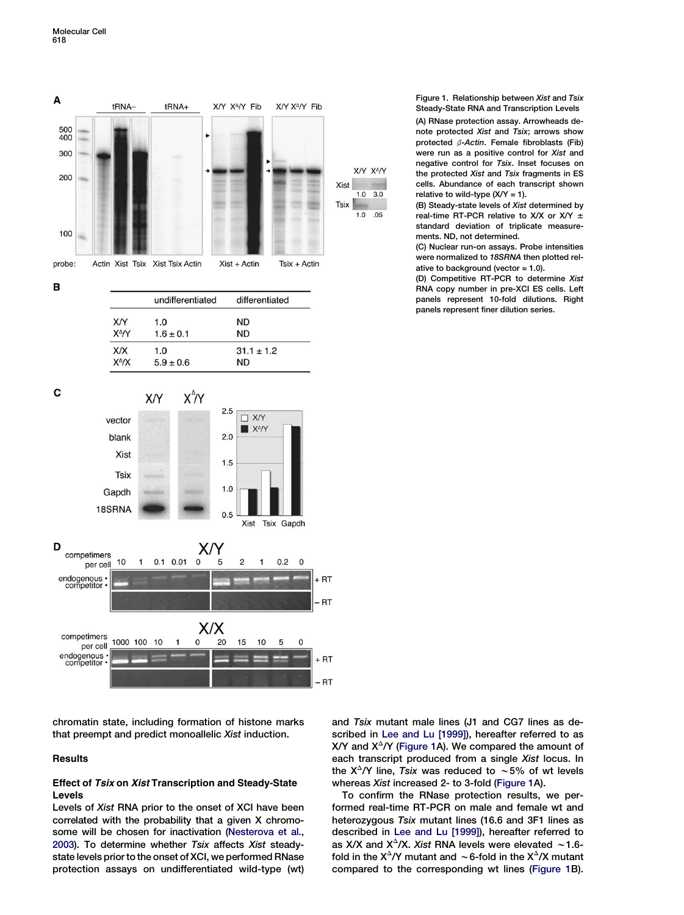<span id="page-1-0"></span>

chromatin state, including formation of histone marks that preempt and predict monoallelic Xist induction.

# **Results**

# **Effect of Tsix on Xist Transcription and Steady-State** Levels

Levels of Xist RNA prior to the onset of XCI have been correlated with the probability that a given X chromosome will be chosen for inactivation [\(Nesterova et al.,](#page-10-0) [2003](#page-10-0)). To determine whether Tsix affects Xist steadystate levels prior to the onset of XCI, we performed RNase protection assays on undifferentiated wild-type (wt)

Figure 1. Relationship between Xist and Tsix Steady-State RNA and Transcription Levels (A) RNase protection assay. Arrowheads denote protected Xist and Tsix; arrows show protected  $\beta$ -Actin. Female fibroblasts (Fib) were run as a positive control for Xist and negative control for Tsix. Inset focuses on the protected Xist and Tsix fragments in ES cells. Abundance of each transcript shown relative to wild-type  $(X/Y = 1)$ .

(B) Steady-state levels of Xist determined by real-time RT-PCR relative to X/X or X/Y  $\pm$ standard deviation of triplicate measurements. ND, not determined.

(C) Nuclear run-on assays. Probe intensities were normalized to 18SRNA then plotted relative to background (vector = 1.0).

(D) Competitive RT-PCR to determine Xist RNA copy number in pre-XCI ES cells. Left panels represent 10-fold dilutions. Right panels represent finer dilution series.

and Tsix mutant male lines (J1 and CG7 lines as de-scribed in [Lee and Lu \[1999\]\)](#page-10-0), hereafter referred to as X/Y and  $X^{\Delta}/Y$  (Figure 1A). We compared the amount of each transcript produced from a single Xist locus. In the  $X^{\Delta}/Y$  line, Tsix was reduced to  $\sim$  5% of wt levels whereas Xist increased 2- to 3-fold (Figure 1A).

To confirm the RNase protection results, we performed real-time RT-PCR on male and female wt and heterozygous Tsix mutant lines (16.6 and 3F1 lines as described in [Lee and Lu \[1999\]](#page-10-0)), hereafter referred to as X/X and  $X^{\Delta}/X$ . Xist RNA levels were elevated ~1.6fold in the  $X^{\Delta}/Y$  mutant and  $\sim$  6-fold in the  $X^{\Delta}/X$  mutant compared to the corresponding wt lines (Figure 1B).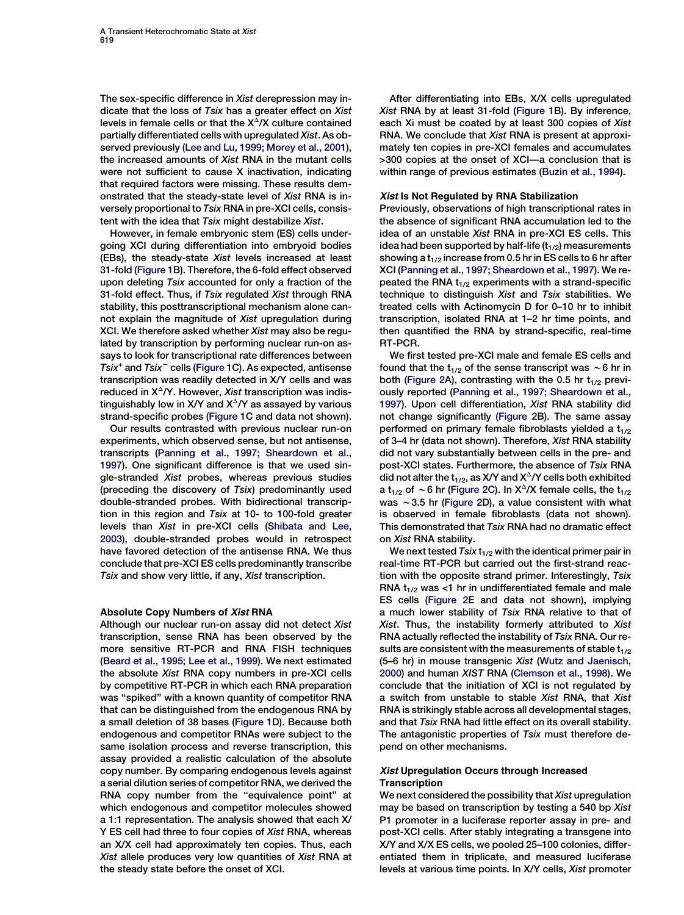The sex-specific difference in Xist derepression may indicate that the loss of Tsix has a greater effect on Xist levels in female cells or that the  $X^{\Delta}/X$  culture contained partially differentiated cells with upregulated Xist. As observed previously [\(Lee and Lu, 1999; Morey et al., 2001](#page-10-0)), the increased amounts of Xist RNA in the mutant cells were not sufficient to cause X inactivation, indicating that required factors were missing. These results demonstrated that the steady-state level of Xist RNA is inversely proportional to Tsix RNA in pre-XCI cells, consistent with the idea that Tsix might destabilize Xist.

However, in female embryonic stem (ES) cells undergoing XCI during differentiation into embryoid bodies (EBs), the steady-state Xist levels increased at least 31-fold [\(Figure 1](#page-1-0)B). Therefore, the 6-fold effect observed upon deleting Tsix accounted for only a fraction of the 31-fold effect. Thus, if Tsix regulated Xist through RNA stability, this posttranscriptional mechanism alone cannot explain the magnitude of Xist upregulation during XCI. We therefore asked whether Xist may also be regulated by transcription by performing nuclear run-on assays to look for transcriptional rate differences between  $Tsix^+$  and  $Tsix^-$  cells ([Figure 1C](#page-1-0)). As expected, antisense transcription was readily detected in X/Y cells and was reduced in  $X^{\Delta}/Y$ . However, Xist transcription was indistinguishably low in X/Y and  $X^{\Delta}/Y$  as assayed by various strand-specific probes ([Figure 1](#page-1-0)C and data not shown).

Our results contrasted with previous nuclear run-on experiments, which observed sense, but not antisense, transcripts [\(Panning et al., 1997; Sheardown et al.,](#page-10-0) [1997](#page-10-0)). One significant difference is that we used single-stranded Xist probes, whereas previous studies (preceding the discovery of Tsix) predominantly used double-stranded probes. With bidirectional transcription in this region and Tsix at 10- to 100-fold greater levels than Xist in pre-XCI cells [\(Shibata and Lee,](#page-11-0) [2003](#page-11-0)), double-stranded probes would in retrospect have favored detection of the antisense RNA. We thus conclude that pre-XCI ES cells predominantly transcribe Tsix and show very little, if any, Xist transcription.

# Absolute Copy Numbers of Xist RNA

Although our nuclear run-on assay did not detect Xist transcription, sense RNA has been observed by the more sensitive RT-PCR and RNA FISH techniques [\(Beard et al., 1995; Lee et al., 1999](#page-10-0)). We next estimated the absolute Xist RNA copy numbers in pre-XCI cells by competitive RT-PCR in which each RNA preparation was ''spiked'' with a known quantity of competitor RNA that can be distinguished from the endogenous RNA by a small deletion of 38 bases ([Figure 1D](#page-1-0)). Because both endogenous and competitor RNAs were subject to the same isolation process and reverse transcription, this assay provided a realistic calculation of the absolute copy number. By comparing endogenous levels against a serial dilution series of competitor RNA, we derived the RNA copy number from the "equivalence point" at which endogenous and competitor molecules showed a 1:1 representation. The analysis showed that each X/ Y ES cell had three to four copies of Xist RNA, whereas an X/X cell had approximately ten copies. Thus, each Xist allele produces very low quantities of Xist RNA at the steady state before the onset of XCI.

After differentiating into EBs, X/X cells upregulated Xist RNA by at least 31-fold ([Figure 1](#page-1-0)B). By inference, each Xi must be coated by at least 300 copies of Xist RNA. We conclude that Xist RNA is present at approximately ten copies in pre-XCI females and accumulates >300 copies at the onset of XCI—a conclusion that is within range of previous estimates ([Buzin et al., 1994](#page-10-0)).

# Xist Is Not Regulated by RNA Stabilization

Previously, observations of high transcriptional rates in the absence of significant RNA accumulation led to the idea of an unstable Xist RNA in pre-XCI ES cells. This idea had been supported by half-life  $(t_{1/2})$  measurements showing a  $t_{1/2}$  increase from 0.5 hr in ES cells to 6 hr after XCI ([Panning et al., 1997; Sheardown et al., 1997](#page-10-0)). We repeated the RNA  $t_{1/2}$  experiments with a strand-specific technique to distinguish Xist and Tsix stabilities. We treated cells with Actinomycin D for 0–10 hr to inhibit transcription, isolated RNA at 1–2 hr time points, and then quantified the RNA by strand-specific, real-time RT-PCR.

We first tested pre-XCI male and female ES cells and found that the t<sub>1/2</sub> of the sense transcript was  $\sim$  6 hr in both [\(Figure 2A](#page-3-0)), contrasting with the 0.5 hr  $t_{1/2}$  previously reported [\(Panning et al., 1997; Sheardown et al.,](#page-10-0) [1997\)](#page-10-0). Upon cell differentiation, Xist RNA stability did not change significantly ([Figure 2B](#page-3-0)). The same assay performed on primary female fibroblasts yielded a  $t_{1/2}$ of 3–4 hr (data not shown). Therefore, Xist RNA stability did not vary substantially between cells in the pre- and post-XCI states. Furthermore, the absence of Tsix RNA did not alter the  $t_{1/2}$ , as X/Y and  $X^{\Delta}/Y$  cells both exhibited a  $t_{1/2}$  of ~6 hr ([Figure 2](#page-3-0)C). In X<sup> $\triangle$ </sup>/X female cells, the  $t_{1/2}$ was  $\sim$  3.5 hr [\(Figure 2D](#page-3-0)), a value consistent with what is observed in female fibroblasts (data not shown). This demonstrated that Tsix RNA had no dramatic effect on Xist RNA stability.

We next tested  $Tsix t_{1/2}$  with the identical primer pair in real-time RT-PCR but carried out the first-strand reaction with the opposite strand primer. Interestingly, Tsix RNA  $t_{1/2}$  was <1 hr in undifferentiated female and male ES cells [\(Figure 2E](#page-3-0) and data not shown), implying a much lower stability of Tsix RNA relative to that of Xist. Thus, the instability formerly attributed to Xist RNA actually reflected the instability of Tsix RNA. Our results are consistent with the measurements of stable  $t_{1/2}$ (5–6 hr) in mouse transgenic Xist ([Wutz and Jaenisch,](#page-11-0) [2000\)](#page-11-0) and human XIST RNA [\(Clemson et al., 1998\)](#page-10-0). We conclude that the initiation of XCI is not regulated by a switch from unstable to stable Xist RNA, that Xist RNA is strikingly stable across all developmental stages, and that Tsix RNA had little effect on its overall stability. The antagonistic properties of Tsix must therefore depend on other mechanisms.

# Xist Upregulation Occurs through Increased **Transcription**

We next considered the possibility that Xist upregulation may be based on transcription by testing a 540 bp Xist P1 promoter in a luciferase reporter assay in pre- and post-XCI cells. After stably integrating a transgene into X/Y and X/X ES cells, we pooled 25–100 colonies, differentiated them in triplicate, and measured luciferase levels at various time points. In X/Y cells, Xist promoter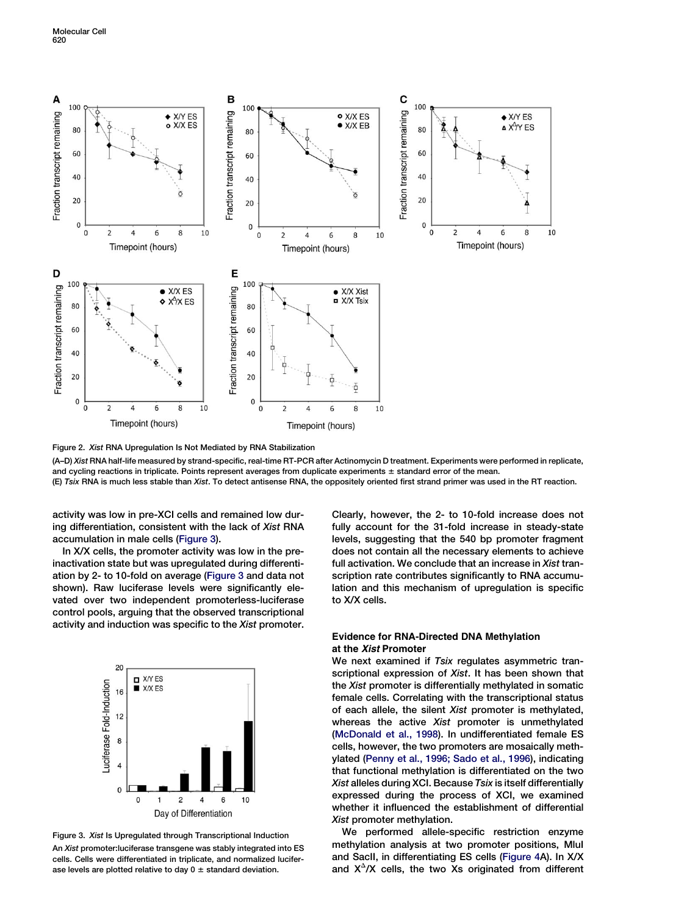<span id="page-3-0"></span>

Figure 2. Xist RNA Upregulation Is Not Mediated by RNA Stabilization

(A–D) Xist RNA half-life measured by strand-specific, real-time RT-PCR after Actinomycin D treatment. Experiments were performed in replicate, and cycling reactions in triplicate. Points represent averages from duplicate experiments  $\pm$  standard error of the mean.

(E) Tsix RNA is much less stable than Xist. To detect antisense RNA, the oppositely oriented first strand primer was used in the RT reaction.

activity was low in pre-XCI cells and remained low during differentiation, consistent with the lack of Xist RNA accumulation in male cells (Figure 3).

In X/X cells, the promoter activity was low in the preinactivation state but was upregulated during differentiation by 2- to 10-fold on average (Figure 3 and data not shown). Raw luciferase levels were significantly elevated over two independent promoterless-luciferase control pools, arguing that the observed transcriptional activity and induction was specific to the Xist promoter.



Figure 3. Xist Is Upregulated through Transcriptional Induction An Xist promoter: luciferase transgene was stably integrated into ES cells. Cells were differentiated in triplicate, and normalized luciferase levels are plotted relative to day  $0 \pm$  standard deviation.

Clearly, however, the 2- to 10-fold increase does not fully account for the 31-fold increase in steady-state levels, suggesting that the 540 bp promoter fragment does not contain all the necessary elements to achieve full activation. We conclude that an increase in Xist transcription rate contributes significantly to RNA accumulation and this mechanism of upregulation is specific to X/X cells.

# Evidence for RNA-Directed DNA Methylation at the Xist Promoter

We next examined if Tsix regulates asymmetric transcriptional expression of Xist. It has been shown that the Xist promoter is differentially methylated in somatic female cells. Correlating with the transcriptional status of each allele, the silent Xist promoter is methylated, whereas the active Xist promoter is unmethylated [\(McDonald et al., 1998\)](#page-10-0). In undifferentiated female ES cells, however, the two promoters are mosaically methylated ([Penny et al., 1996; Sado et al., 1996\)](#page-10-0), indicating that functional methylation is differentiated on the two Xist alleles during XCI. Because Tsix is itself differentially expressed during the process of XCI, we examined whether it influenced the establishment of differential Xist promoter methylation.

We performed allele-specific restriction enzyme methylation analysis at two promoter positions, MluI and SacII, in differentiating ES cells ([Figure 4A](#page-4-0)). In X/X and  $X^{\Delta}/X$  cells, the two Xs originated from different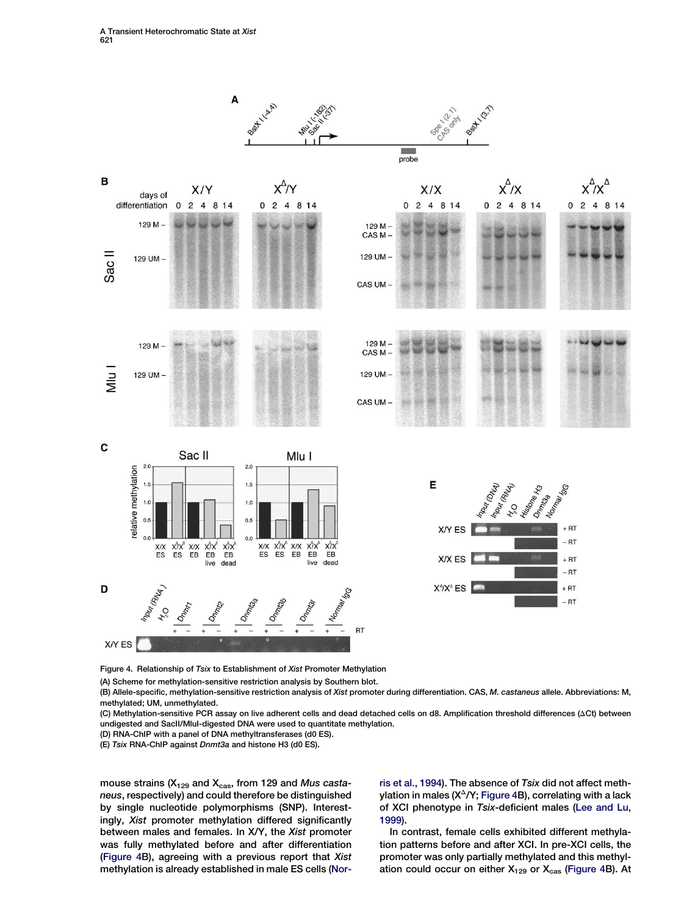<span id="page-4-0"></span>

Figure 4. Relationship of Tsix to Establishment of Xist Promoter Methylation

(A) Scheme for methylation-sensitive restriction analysis by Southern blot.

(B) Allele-specific, methylation-sensitive restriction analysis of Xist promoter during differentiation. CAS, M. castaneus allele. Abbreviations: M, methylated; UM, unmethylated.

(C) Methylation-sensitive PCR assay on live adherent cells and dead detached cells on d8. Amplification threshold differences (DCt) between undigested and SacII/MluI-digested DNA were used to quantitate methylation.

(D) RNA-ChIP with a panel of DNA methyltransferases (d0 ES).

(E) Tsix RNA-ChIP against Dnmt3a and histone H3 (d0 ES).

mouse strains ( $X_{129}$  and  $X_{\text{cas}}$ , from 129 and Mus castaneus, respectively) and could therefore be distinguished by single nucleotide polymorphisms (SNP). Interestingly, Xist promoter methylation differed significantly between males and females. In X/Y, the Xist promoter was fully methylated before and after differentiation (Figure 4B), agreeing with a previous report that Xist methylation is already established in male ES cells ([Nor-](#page-10-0)

[ris et al., 1994\)](#page-10-0). The absence of Tsix did not affect methylation in males  $(X^{\Delta}/Y;$  Figure 4B), correlating with a lack of XCI phenotype in Tsix-deficient males [\(Lee and Lu,](#page-10-0) [1999\)](#page-10-0).

In contrast, female cells exhibited different methylation patterns before and after XCI. In pre-XCI cells, the promoter was only partially methylated and this methylation could occur on either  $X_{129}$  or  $X_{\text{cas}}$  (Figure 4B). At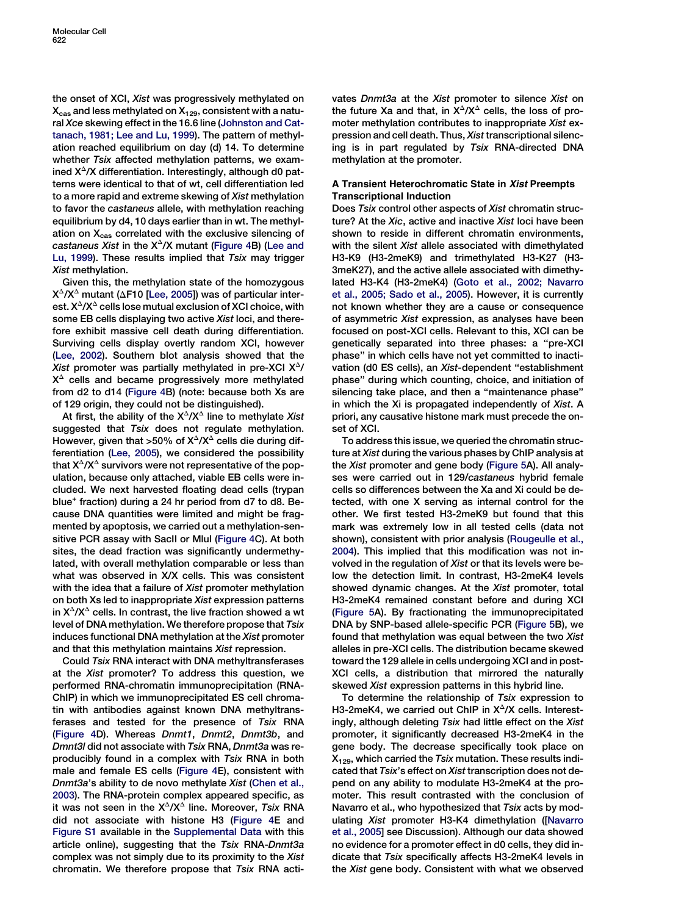the onset of XCI, Xist was progressively methylated on  $X_{\text{cas}}$  and less methylated on  $X_{129}$ , consistent with a natural Xce skewing effect in the 16.6 line ([Johnston and Cat](#page-10-0)[tanach, 1981; Lee and Lu, 1999](#page-10-0)). The pattern of methylation reached equilibrium on day (d) 14. To determine whether Tsix affected methylation patterns, we examined  $X^{\Delta}/X$  differentiation. Interestingly, although d0 patterns were identical to that of wt, cell differentiation led to a more rapid and extreme skewing of Xist methylation to favor the castaneus allele, with methylation reaching equilibrium by d4, 10 days earlier than in wt. The methylation on  $X_{cas}$  correlated with the exclusive silencing of castaneus Xist in the  $X^{\Delta}/X$  mutant [\(Figure 4](#page-4-0)B) ([Lee and](#page-10-0) [Lu, 1999](#page-10-0)). These results implied that Tsix may trigger **Xist methylation.** 

Given this, the methylation state of the homozygous  $X^{\Delta}/X^{\Delta}$  mutant ( $\Delta$ F10 [\[Lee, 2005\]](#page-10-0)) was of particular interest.  $X^{\Delta}/X^{\Delta}$  cells lose mutual exclusion of XCI choice, with some EB cells displaying two active Xist loci, and therefore exhibit massive cell death during differentiation. Surviving cells display overtly random XCI, however [\(Lee, 2002](#page-10-0)). Southern blot analysis showed that the Xist promoter was partially methylated in pre-XCI  $X^2$ /  $X^{\Delta}$  cells and became progressively more methylated from d2 to d14 [\(Figure 4B](#page-4-0)) (note: because both Xs are of 129 origin, they could not be distinguished).

At first, the ability of the  $X^{\Delta}/X^{\Delta}$  line to methylate Xist suggested that Tsix does not regulate methylation. However, given that >50% of  $X^{\Delta}/X^{\Delta}$  cells die during differentiation [\(Lee, 2005\)](#page-10-0), we considered the possibility that  $X^{\Delta}/X^{\Delta}$  survivors were not representative of the population, because only attached, viable EB cells were included. We next harvested floating dead cells (trypan blue<sup>+</sup> fraction) during a 24 hr period from d7 to d8. Because DNA quantities were limited and might be fragmented by apoptosis, we carried out a methylation-sensitive PCR assay with SacII or MluI [\(Figure 4C](#page-4-0)). At both sites, the dead fraction was significantly undermethylated, with overall methylation comparable or less than what was observed in X/X cells. This was consistent with the idea that a failure of Xist promoter methylation on both Xs led to inappropriate Xist expression patterns in  $X^{\Delta}/X^{\Delta}$  cells. In contrast, the live fraction showed a wt level of DNA methylation. We therefore propose that Tsix induces functional DNA methylation at the Xist promoter and that this methylation maintains Xist repression.

Could Tsix RNA interact with DNA methyltransferases at the Xist promoter? To address this question, we performed RNA-chromatin immunoprecipitation (RNA-ChIP) in which we immunoprecipitated ES cell chromatin with antibodies against known DNA methyltransferases and tested for the presence of Tsix RNA [\(Figure 4](#page-4-0)D). Whereas Dnmt1, Dnmt2, Dnmt3b, and Dmnt3l did not associate with Tsix RNA, Dnmt3a was reproducibly found in a complex with Tsix RNA in both male and female ES cells [\(Figure 4](#page-4-0)E), consistent with Dnmt3a's ability to de novo methylate Xist ([Chen et al.,](#page-10-0) [2003\)](#page-10-0). The RNA-protein complex appeared specific, as it was not seen in the  $X^{\Delta}/X^{\Delta}$  line. Moreover, Tsix RNA did not associate with histone H3 ([Figure 4E](#page-4-0) and [Figure S1](#page-10-0) available in the [Supplemental Data](#page-10-0) with this article online), suggesting that the Tsix RNA-Dnmt3a complex was not simply due to its proximity to the Xist chromatin. We therefore propose that Tsix RNA acti-

vates Dnmt3a at the Xist promoter to silence Xist on the future Xa and that, in  $X^{\Delta}/X^{\Delta}$  cells, the loss of promoter methylation contributes to inappropriate Xist expression and cell death. Thus, Xist transcriptional silencing is in part regulated by Tsix RNA-directed DNA methylation at the promoter.

# A Transient Heterochromatic State in Xist Preempts Transcriptional Induction

Does Tsix control other aspects of Xist chromatin structure? At the Xic, active and inactive Xist loci have been shown to reside in different chromatin environments, with the silent Xist allele associated with dimethylated H3-K9 (H3-2meK9) and trimethylated H3-K27 (H3- 3meK27), and the active allele associated with dimethylated H3-K4 (H3-2meK4) [\(Goto et al., 2002; Navarro](#page-10-0) [et al., 2005; Sado et al., 2005](#page-10-0)). However, it is currently not known whether they are a cause or consequence of asymmetric Xist expression, as analyses have been focused on post-XCI cells. Relevant to this, XCI can be genetically separated into three phases: a ''pre-XCI phase'' in which cells have not yet committed to inactivation (d0 ES cells), an Xist-dependent ''establishment phase'' during which counting, choice, and initiation of silencing take place, and then a ''maintenance phase'' in which the Xi is propagated independently of Xist. A priori, any causative histone mark must precede the onset of XCI.

To address this issue, we queried the chromatin structure at Xist during the various phases by ChIP analysis at the Xist promoter and gene body [\(Figure 5](#page-6-0)A). All analyses were carried out in 129/castaneus hybrid female cells so differences between the Xa and Xi could be detected, with one X serving as internal control for the other. We first tested H3-2meK9 but found that this mark was extremely low in all tested cells (data not shown), consistent with prior analysis [\(Rougeulle et al.,](#page-10-0) [2004\)](#page-10-0). This implied that this modification was not involved in the regulation of Xist or that its levels were below the detection limit. In contrast, H3-2meK4 levels showed dynamic changes. At the Xist promoter, total H3-2meK4 remained constant before and during XCI [\(Figure 5](#page-6-0)A). By fractionating the immunoprecipitated DNA by SNP-based allele-specific PCR ([Figure 5B](#page-6-0)), we found that methylation was equal between the two Xist alleles in pre-XCI cells. The distribution became skewed toward the 129 allele in cells undergoing XCI and in post-XCI cells, a distribution that mirrored the naturally skewed Xist expression patterns in this hybrid line.

To determine the relationship of Tsix expression to H3-2meK4, we carried out ChIP in  $X^{\Delta}/X$  cells. Interestingly, although deleting Tsix had little effect on the Xist promoter, it significantly decreased H3-2meK4 in the gene body. The decrease specifically took place on  $X_{129}$ , which carried the Tsix mutation. These results indicated that Tsix's effect on Xist transcription does not depend on any ability to modulate H3-2meK4 at the promoter. This result contrasted with the conclusion of Navarro et al., who hypothesized that Tsix acts by modulating Xist promoter H3-K4 dimethylation ([\[Navarro](#page-10-0) [et al., 2005](#page-10-0)] see Discussion). Although our data showed no evidence for a promoter effect in d0 cells, they did indicate that Tsix specifically affects H3-2meK4 levels in the Xist gene body. Consistent with what we observed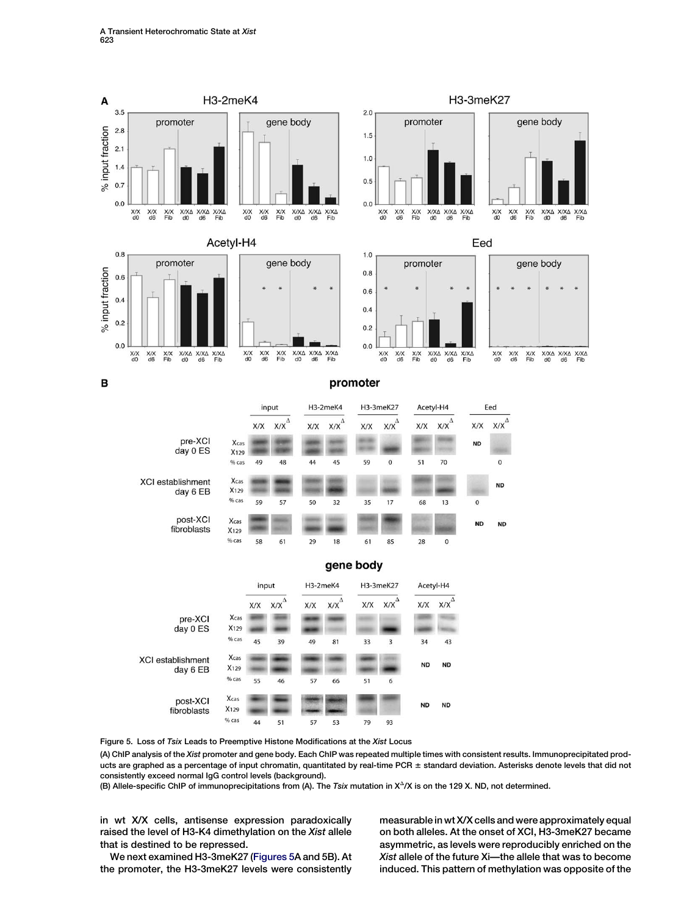<span id="page-6-0"></span>

Figure 5. Loss of Tsix Leads to Preemptive Histone Modifications at the Xist Locus

(A) ChIP analysis of the Xist promoter and gene body. Each ChIP was repeated multiple times with consistent results. Immunoprecipitated products are graphed as a percentage of input chromatin, quantitated by real-time PCR ± standard deviation. Asterisks denote levels that did not consistently exceed normal IgG control levels (background).

(B) Allele-specific ChIP of immunoprecipitations from (A). The Tsix mutation in  $X^{\Delta}/X$  is on the 129 X. ND, not determined.

in wt X/X cells, antisense expression paradoxically raised the level of H3-K4 dimethylation on the Xist allele that is destined to be repressed.

We next examined H3-3meK27 (Figures 5A and 5B). At the promoter, the H3-3meK27 levels were consistently measurable in wt X/X cells and were approximately equal on both alleles. At the onset of XCI, H3-3meK27 became asymmetric, as levels were reproducibly enriched on the Xist allele of the future Xi—the allele that was to become induced. This pattern of methylation was opposite of the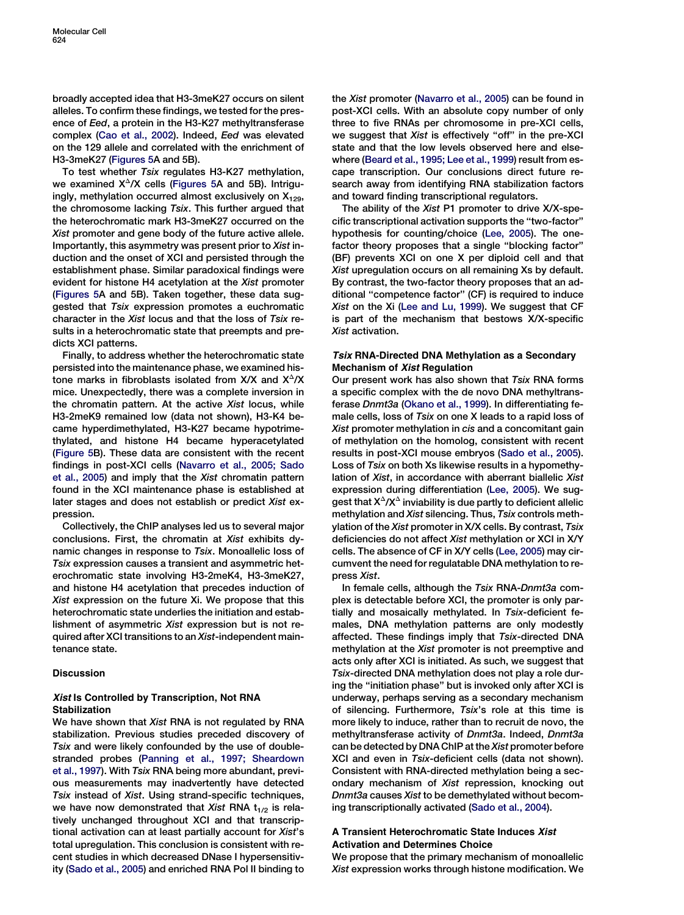broadly accepted idea that H3-3meK27 occurs on silent alleles. To confirm these findings, we tested for the presence of Eed, a protein in the H3-K27 methyltransferase complex [\(Cao et al., 2002](#page-10-0)). Indeed, Eed was elevated on the 129 allele and correlated with the enrichment of H3-3meK27 [\(Figures 5](#page-6-0)A and 5B).

To test whether Tsix regulates H3-K27 methylation, we examined  $X^{\Delta}/X$  cells ([Figures 5](#page-6-0)A and 5B). Intriguingly, methylation occurred almost exclusively on  $X_{129}$ , the chromosome lacking Tsix. This further argued that the heterochromatic mark H3-3meK27 occurred on the Xist promoter and gene body of the future active allele. Importantly, this asymmetry was present prior to Xist induction and the onset of XCI and persisted through the establishment phase. Similar paradoxical findings were evident for histone H4 acetylation at the Xist promoter [\(Figures 5A](#page-6-0) and 5B). Taken together, these data suggested that Tsix expression promotes a euchromatic character in the Xist locus and that the loss of Tsix results in a heterochromatic state that preempts and predicts XCI patterns.

Finally, to address whether the heterochromatic state persisted into the maintenance phase, we examined histone marks in fibroblasts isolated from  $X/X$  and  $X^{\Delta}/X$ mice. Unexpectedly, there was a complete inversion in the chromatin pattern. At the active Xist locus, while H3-2meK9 remained low (data not shown), H3-K4 became hyperdimethylated, H3-K27 became hypotrimethylated, and histone H4 became hyperacetylated [\(Figure 5B](#page-6-0)). These data are consistent with the recent findings in post-XCI cells [\(Navarro et al., 2005; Sado](#page-10-0) [et al., 2005](#page-10-0)) and imply that the Xist chromatin pattern found in the XCI maintenance phase is established at later stages and does not establish or predict Xist expression.

Collectively, the ChIP analyses led us to several major conclusions. First, the chromatin at Xist exhibits dynamic changes in response to Tsix. Monoallelic loss of Tsix expression causes a transient and asymmetric heterochromatic state involving H3-2meK4, H3-3meK27, and histone H4 acetylation that precedes induction of Xist expression on the future Xi. We propose that this heterochromatic state underlies the initiation and establishment of asymmetric Xist expression but is not required after XCI transitions to an Xist-independent maintenance state.

# Discussion

# Xist Is Controlled by Transcription, Not RNA Stabilization

We have shown that Xist RNA is not regulated by RNA stabilization. Previous studies preceded discovery of Tsix and were likely confounded by the use of doublestranded probes [\(Panning et al., 1997; Sheardown](#page-10-0) [et al., 1997\)](#page-10-0). With Tsix RNA being more abundant, previous measurements may inadvertently have detected Tsix instead of Xist. Using strand-specific techniques, we have now demonstrated that Xist RNA  $t_{1/2}$  is relatively unchanged throughout XCI and that transcriptional activation can at least partially account for Xist's total upregulation. This conclusion is consistent with recent studies in which decreased DNase I hypersensitivity ([Sado et al., 2005\)](#page-10-0) and enriched RNA Pol II binding to the Xist promoter [\(Navarro et al., 2005](#page-10-0)) can be found in post-XCI cells. With an absolute copy number of only three to five RNAs per chromosome in pre-XCI cells, we suggest that Xist is effectively "off" in the pre-XCI state and that the low levels observed here and elsewhere [\(Beard et al., 1995; Lee et al., 1999\)](#page-10-0) result from escape transcription. Our conclusions direct future research away from identifying RNA stabilization factors and toward finding transcriptional regulators.

The ability of the Xist P1 promoter to drive X/X-specific transcriptional activation supports the ''two-factor'' hypothesis for counting/choice ([Lee, 2005](#page-10-0)). The onefactor theory proposes that a single ''blocking factor'' (BF) prevents XCI on one X per diploid cell and that Xist upregulation occurs on all remaining Xs by default. By contrast, the two-factor theory proposes that an additional ''competence factor'' (CF) is required to induce Xist on the Xi [\(Lee and Lu, 1999\)](#page-10-0). We suggest that CF is part of the mechanism that bestows X/X-specific Xist activation.

# Tsix RNA-Directed DNA Methylation as a Secondary Mechanism of Xist Regulation

Our present work has also shown that Tsix RNA forms a specific complex with the de novo DNA methyltransferase Dnmt3a ([Okano et al., 1999\)](#page-10-0). In differentiating female cells, loss of Tsix on one X leads to a rapid loss of Xist promoter methylation in cis and a concomitant gain of methylation on the homolog, consistent with recent results in post-XCI mouse embryos [\(Sado et al., 2005\)](#page-10-0). Loss of Tsix on both Xs likewise results in a hypomethylation of Xist, in accordance with aberrant biallelic Xist expression during differentiation ([Lee, 2005](#page-10-0)). We suggest that  $X^{\Delta}/X^{\Delta}$  inviability is due partly to deficient allelic methylation and Xist silencing. Thus, Tsix controls methylation of the Xist promoter in X/X cells. By contrast, Tsix deficiencies do not affect Xist methylation or XCI in X/Y cells. The absence of CF in X/Y cells ([Lee, 2005\)](#page-10-0) may circumvent the need for regulatable DNA methylation to repress Xist.

In female cells, although the Tsix RNA-Dnmt3a complex is detectable before XCI, the promoter is only partially and mosaically methylated. In Tsix-deficient females, DNA methylation patterns are only modestly affected. These findings imply that Tsix-directed DNA methylation at the Xist promoter is not preemptive and acts only after XCI is initiated. As such, we suggest that Tsix-directed DNA methylation does not play a role during the ''initiation phase'' but is invoked only after XCI is underway, perhaps serving as a secondary mechanism of silencing. Furthermore, Tsix's role at this time is more likely to induce, rather than to recruit de novo, the methyltransferase activity of Dnmt3a. Indeed, Dnmt3a can be detected by DNA ChIP at the Xist promoter before XCI and even in Tsix-deficient cells (data not shown). Consistent with RNA-directed methylation being a secondary mechanism of Xist repression, knocking out Dnmt3a causes Xist to be demethylated without becoming transcriptionally activated [\(Sado et al., 2004\)](#page-10-0).

# A Transient Heterochromatic State Induces Xist Activation and Determines Choice

We propose that the primary mechanism of monoallelic Xist expression works through histone modification. We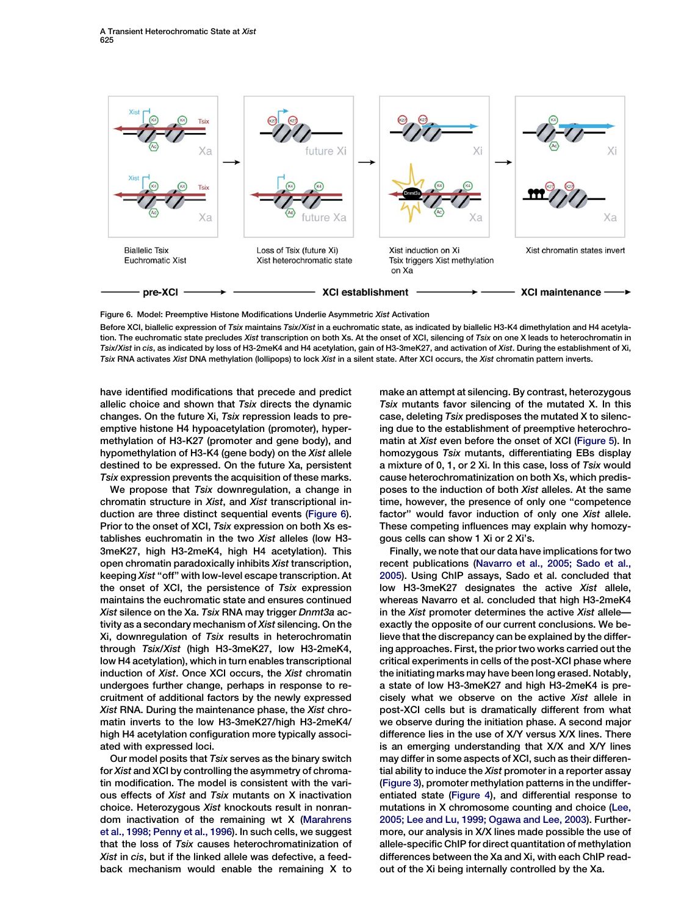

Figure 6. Model: Preemptive Histone Modifications Underlie Asymmetric Xist Activation

Before XCI, biallelic expression of Tsix maintains Tsix/Xist in a euchromatic state, as indicated by biallelic H3-K4 dimethylation and H4 acetylation. The euchromatic state precludes Xist transcription on both Xs. At the onset of XCI, silencing of Tsix on one X leads to heterochromatin in Tsix/Xist in cis, as indicated by loss of H3-2meK4 and H4 acetylation, gain of H3-3meK27, and activation of Xist. During the establishment of Xi, Tsix RNA activates Xist DNA methylation (lollipops) to lock Xist in a silent state. After XCI occurs, the Xist chromatin pattern inverts.

have identified modifications that precede and predict allelic choice and shown that Tsix directs the dynamic changes. On the future Xi, Tsix repression leads to preemptive histone H4 hypoacetylation (promoter), hypermethylation of H3-K27 (promoter and gene body), and hypomethylation of H3-K4 (gene body) on the Xist allele destined to be expressed. On the future Xa, persistent Tsix expression prevents the acquisition of these marks.

We propose that Tsix downregulation, a change in chromatin structure in Xist, and Xist transcriptional induction are three distinct sequential events (Figure 6). Prior to the onset of XCI, Tsix expression on both Xs establishes euchromatin in the two Xist alleles (low H3- 3meK27, high H3-2meK4, high H4 acetylation). This open chromatin paradoxically inhibits Xist transcription, keeping Xist ''off'' with low-level escape transcription. At the onset of XCI, the persistence of Tsix expression maintains the euchromatic state and ensures continued Xist silence on the Xa. Tsix RNA may trigger Dnmt3a activity as a secondary mechanism of Xist silencing. On the Xi, downregulation of Tsix results in heterochromatin through Tsix/Xist (high H3-3meK27, low H3-2meK4, low H4 acetylation), which in turn enables transcriptional induction of Xist. Once XCI occurs, the Xist chromatin undergoes further change, perhaps in response to recruitment of additional factors by the newly expressed Xist RNA. During the maintenance phase, the Xist chromatin inverts to the low H3-3meK27/high H3-2meK4/ high H4 acetylation configuration more typically associated with expressed loci.

Our model posits that Tsix serves as the binary switch for Xist and XCI by controlling the asymmetry of chromatin modification. The model is consistent with the various effects of Xist and Tsix mutants on X inactivation choice. Heterozygous Xist knockouts result in nonrandom inactivation of the remaining wt X [\(Marahrens](#page-10-0) [et al., 1998; Penny et al., 1996](#page-10-0)). In such cells, we suggest that the loss of Tsix causes heterochromatinization of Xist in cis, but if the linked allele was defective, a feedback mechanism would enable the remaining X to

make an attempt at silencing. By contrast, heterozygous Tsix mutants favor silencing of the mutated X. In this case, deleting Tsix predisposes the mutated X to silencing due to the establishment of preemptive heterochromatin at Xist even before the onset of XCI ([Figure 5](#page-6-0)). In homozygous Tsix mutants, differentiating EBs display a mixture of 0, 1, or 2 Xi. In this case, loss of Tsix would cause heterochromatinization on both Xs, which predisposes to the induction of both Xist alleles. At the same time, however, the presence of only one ''competence factor'' would favor induction of only one Xist allele. These competing influences may explain why homozygous cells can show 1 Xi or 2 Xi's.

Finally, we note that our data have implications for two recent publications [\(Navarro et al., 2005; Sado et al.,](#page-10-0) [2005\)](#page-10-0). Using ChIP assays, Sado et al. concluded that low H3-3meK27 designates the active Xist allele, whereas Navarro et al. concluded that high H3-2meK4 in the Xist promoter determines the active Xist allele exactly the opposite of our current conclusions. We believe that the discrepancy can be explained by the differing approaches. First, the prior two works carried out the critical experiments in cells of the post-XCI phase where the initiating marks may have been long erased. Notably, a state of low H3-3meK27 and high H3-2meK4 is precisely what we observe on the active Xist allele in post-XCI cells but is dramatically different from what we observe during the initiation phase. A second major difference lies in the use of X/Y versus X/X lines. There is an emerging understanding that X/X and X/Y lines may differ in some aspects of XCI, such as their differential ability to induce the Xist promoter in a reporter assay [\(Figure 3](#page-3-0)), promoter methylation patterns in the undifferentiated state [\(Figure 4](#page-4-0)), and differential response to mutations in X chromosome counting and choice [\(Lee,](#page-10-0) [2005; Lee and Lu, 1999; Ogawa and Lee, 2003\)](#page-10-0). Furthermore, our analysis in X/X lines made possible the use of allele-specific ChIP for direct quantitation of methylation differences between the Xa and Xi, with each ChIP readout of the Xi being internally controlled by the Xa.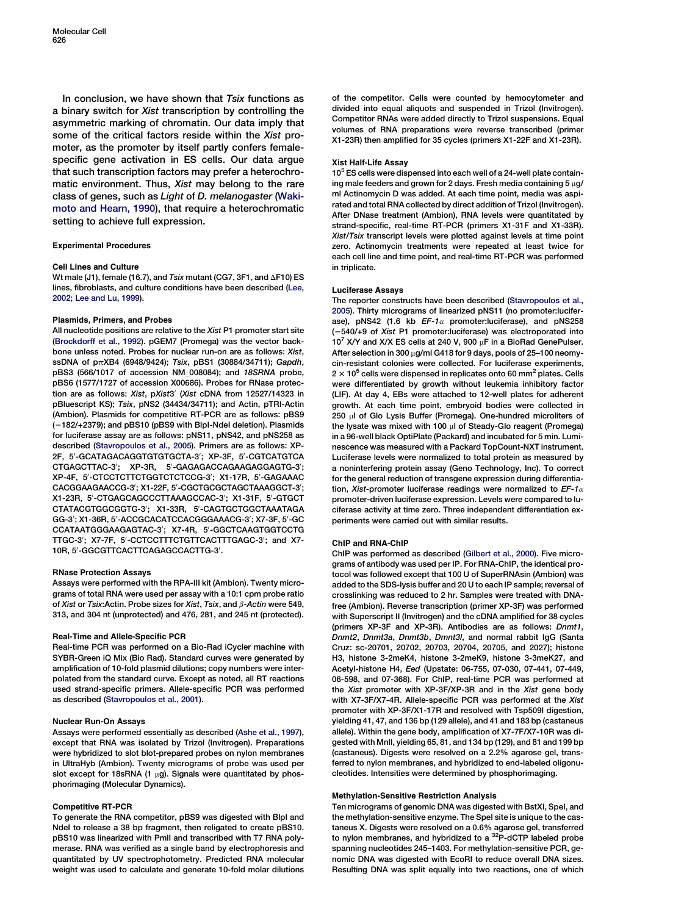In conclusion, we have shown that Tsix functions as a binary switch for Xist transcription by controlling the asymmetric marking of chromatin. Our data imply that some of the critical factors reside within the Xist promoter, as the promoter by itself partly confers femalespecific gene activation in ES cells. Our data argue that such transcription factors may prefer a heterochromatic environment. Thus, Xist may belong to the rare class of genes, such as Light of D. melanogaster ([Waki](#page-11-0)[moto and Hearn, 1990\)](#page-11-0), that require a heterochromatic setting to achieve full expression.

## Experimental Procedures

#### Cell Lines and Culture

Wt male (J1), female (16.7), and  $Tsix$  mutant (CG7, 3F1, and  $\Delta$ F10) ES lines, fibroblasts, and culture conditions have been described ([Lee,](#page-10-0) [2002; Lee and Lu, 1999](#page-10-0)).

## Plasmids, Primers, and Probes

All nucleotide positions are relative to the Xist P1 promoter start site ([Brockdorff et al., 1992\)](#page-10-0). pGEM7 (Promega) was the vector backbone unless noted. Probes for nuclear run-on are as follows: Xist, ssDNA of  $p\pi$ XB4 (6948/9424); Tsix, pBS1 (30884/34711); Gapdh, pBS3 (566/1017 of accession NM\_008084); and 18SRNA probe, pBS6 (1577/1727 of accession X00686). Probes for RNase protection are as follows: Xist, pXist3' (Xist cDNA from 12527/14323 in pBluescript KS); Tsix, pNS2 (34434/34711); and Actin, pTRI-Actin (Ambion). Plasmids for competitive RT-PCR are as follows: pBS9 (2182/+2379); and pBS10 (pBS9 with BlpI-NdeI deletion). Plasmids for luciferase assay are as follows: pNS11, pNS42, and pNS258 as described ([Stavropoulos et al., 2005\)](#page-11-0). Primers are as follows: XP-2F, 5'-GCATAGACAGGTGTGTGCTA-3'; XP-3F, 5'-CGTCATGTCA CTGAGCTTAC-3'; XP-3R, 5'-GAGAGACCAGAAGAGGAGTG-3'; XP-4F, 5'-CTCCTCTTCTGGTCTCTCCG-3'; X1-17R, 5'-GAGAAAC CACGGAAGAACCG-3'; X1-22F, 5'-CGCTGCGCTAGCTAAAGGCT-3'; X1-23R, 5'-CTGAGCAGCCCTTAAAGCCAC-3'; X1-31F, 5'-GTGCT CTATACGTGGCGGTG-3'; X1-33R, 5'-CAGTGCTGGCTAAATAGA GG-3'; X1-36R, 5'-ACCGCACATCCACGGGAAACG-3'; X7-3F, 5'-GC CCATAATGGGAAGAGTAC-3'; X7-4R, 5'-GGCTCAAGTGGTCCTG TTGC-3'; X7-7F, 5'-CCTCCTTTCTGTTCACTTTGAGC-3'; and X7-10R, 5'-GGCGTTCACTTCAGAGCCACTTG-3'.

## RNase Protection Assays

Assays were performed with the RPA-III kit (Ambion). Twenty micrograms of total RNA were used per assay with a 10:1 cpm probe ratio of Xist or Tsix: Actin. Probe sizes for Xist, Tsix, and  $\beta$ -Actin were 549. 313, and 304 nt (unprotected) and 476, 281, and 245 nt (protected).

## Real-Time and Allele-Specific PCR

Real-time PCR was performed on a Bio-Rad iCycler machine with SYBR-Green iQ Mix (Bio Rad). Standard curves were generated by amplification of 10-fold plasmid dilutions; copy numbers were interpolated from the standard curve. Except as noted, all RT reactions used strand-specific primers. Allele-specific PCR was performed as described ([Stavropoulos et al., 2001](#page-11-0)).

## Nuclear Run-On Assays

Assays were performed essentially as described ([Ashe et al., 1997](#page-10-0)), except that RNA was isolated by Trizol (Invitrogen). Preparations were hybridized to slot blot-prepared probes on nylon membranes in UltraHyb (Ambion). Twenty micrograms of probe was used per slot except for 18sRNA (1  $\mu$ g). Signals were quantitated by phosphorimaging (Molecular Dynamics).

## Competitive RT-PCR

To generate the RNA competitor, pBS9 was digested with BlpI and NdeI to release a 38 bp fragment, then religated to create pBS10. pBS10 was linearized with PmlI and transcribed with T7 RNA polymerase. RNA was verified as a single band by electrophoresis and quantitated by UV spectrophotometry. Predicted RNA molecular weight was used to calculate and generate 10-fold molar dilutions of the competitor. Cells were counted by hemocytometer and divided into equal aliquots and suspended in Trizol (Invitrogen). Competitor RNAs were added directly to Trizol suspensions. Equal volumes of RNA preparations were reverse transcribed (primer X1-23R) then amplified for 35 cycles (primers X1-22F and X1-23R).

## Xist Half-Life Assay

 $10<sup>5</sup>$  ES cells were dispensed into each well of a 24-well plate containing male feeders and grown for 2 days. Fresh media containing  $5 \mu$ g/ ml Actinomycin D was added. At each time point, media was aspirated and total RNA collected by direct addition of Trizol (Invitrogen). After DNase treatment (Ambion), RNA levels were quantitated by strand-specific, real-time RT-PCR (primers X1-31F and X1-33R). Xist/Tsix transcript levels were plotted against levels at time point zero. Actinomycin treatments were repeated at least twice for each cell line and time point, and real-time RT-PCR was performed in triplicate.

## Luciferase Assays

The reporter constructs have been described [\(Stavropoulos et al.,](#page-11-0) [2005\)](#page-11-0). Thirty micrograms of linearized pNS11 (no promoter:luciferase), pNS42 (1.6 kb  $EF-1\alpha$  promoter: luciferase), and pNS258 (2540/+9 of Xist P1 promoter:luciferase) was electroporated into  $10^7$  X/Y and X/X ES cells at 240 V, 900  $\mu$ F in a BioRad GenePulser. After selection in 300  $\mu$ g/ml G418 for 9 days, pools of 25-100 neomycin-resistant colonies were collected. For luciferase experiments,  $2 \times 10^5$  cells were dispensed in replicates onto 60 mm<sup>2</sup> plates. Cells were differentiated by growth without leukemia inhibitory factor (LIF). At day 4, EBs were attached to 12-well plates for adherent growth. At each time point, embryoid bodies were collected in 250 µl of Glo Lysis Buffer (Promega). One-hundred microliters of the lysate was mixed with 100  $\mu$ l of Steady-Glo reagent (Promega) in a 96-well black OptiPlate (Packard) and incubated for 5 min. Luminescence was measured with a Packard TopCount-NXT instrument. Luciferase levels were normalized to total protein as measured by a noninterfering protein assay (Geno Technology, Inc). To correct for the general reduction of transgene expression during differentiation, Xist-promoter luciferase readings were normalized to  $EF-1\alpha$ promoter-driven luciferase expression. Levels were compared to luciferase activity at time zero. Three independent differentiation experiments were carried out with similar results.

#### ChIP and RNA-ChIP

ChIP was performed as described [\(Gilbert et al., 2000](#page-10-0)). Five micrograms of antibody was used per IP. For RNA-ChIP, the identical protocol was followed except that 100 U of SuperRNAsin (Ambion) was added to the SDS-lysis buffer and 20 U to each IP sample; reversal of crosslinking was reduced to 2 hr. Samples were treated with DNAfree (Ambion). Reverse transcription (primer XP-3F) was performed with Superscript II (Invitrogen) and the cDNA amplified for 38 cycles (primers XP-3F and XP-3R). Antibodies are as follows: Dnmt1, Dnmt2, Dnmt3a, Dnmt3b, Dmnt3l, and normal rabbit IgG (Santa Cruz: sc-20701, 20702, 20703, 20704, 20705, and 2027); histone H3, histone 3-2meK4, histone 3-2meK9, histone 3-3meK27, and Acetyl-histone H4, Eed (Upstate: 06-755, 07-030, 07-441, 07-449, 06-598, and 07-368). For ChIP, real-time PCR was performed at the Xist promoter with XP-3F/XP-3R and in the Xist gene body with X7-3F/X7-4R. Allele-specific PCR was performed at the Xist promoter with XP-3F/X1-17R and resolved with Tsp509I digestion, yielding 41, 47, and 136 bp (129 allele), and 41 and 183 bp (castaneus allele). Within the gene body, amplification of X7-7F/X7-10R was digested with MnlI, yielding 65, 81, and 134 bp (129), and 81 and 199 bp (castaneus). Digests were resolved on a 2.2% agarose gel, transferred to nylon membranes, and hybridized to end-labeled oligonucleotides. Intensities were determined by phosphorimaging.

## Methylation-Sensitive Restriction Analysis

Ten micrograms of genomic DNA was digested with BstXI, SpeI, and the methylation-sensitive enzyme. The SpeI site is unique to the castaneus X. Digests were resolved on a 0.6% agarose gel, transferred to nylon membranes, and hybridized to a  $^{32}$ P-dCTP labeled probe spanning nucleotides 245–1403. For methylation-sensitive PCR, genomic DNA was digested with EcoRI to reduce overall DNA sizes. Resulting DNA was split equally into two reactions, one of which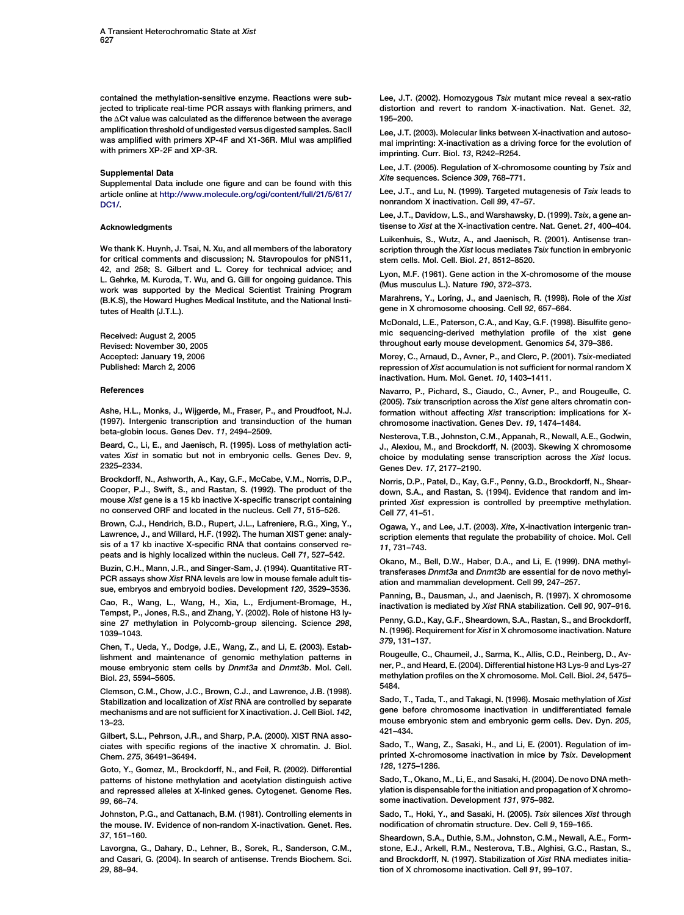<span id="page-10-0"></span>contained the methylation-sensitive enzyme. Reactions were subjected to triplicate real-time PCR assays with flanking primers, and the  $\Delta$ Ct value was calculated as the difference between the average amplification threshold of undigested versus digested samples. SacII was amplified with primers XP-4F and X1-36R. MluI was amplified with primers XP-2F and XP-3R.

#### Supplemental Data

Supplemental Data include one figure and can be found with this article online at [http://www.molecule.org/cgi/content/full/21/5/617/](http://www.molecule.org/cgi/content/full/21/5/617/DC1/) [DC1/](http://www.molecule.org/cgi/content/full/21/5/617/DC1/).

## Acknowledgments

We thank K. Huynh, J. Tsai, N. Xu, and all members of the laboratory for critical comments and discussion; N. Stavropoulos for pNS11, 42, and 258; S. Gilbert and L. Corey for technical advice; and L. Gehrke, M. Kuroda, T. Wu, and G. Gill for ongoing guidance. This work was supported by the Medical Scientist Training Program (B.K.S), the Howard Hughes Medical Institute, and the National Institutes of Health (J.T.L.).

Received: August 2, 2005 Revised: November 30, 2005 Accepted: January 19, 2006 Published: March 2, 2006

#### References

Ashe, H.L., Monks, J., Wijgerde, M., Fraser, P., and Proudfoot, N.J. (1997). Intergenic transcription and transinduction of the human beta-globin locus. Genes Dev. 11, 2494–2509.

Beard, C., Li, E., and Jaenisch, R. (1995). Loss of methylation activates Xist in somatic but not in embryonic cells. Genes Dev. 9, 2325–2334.

Brockdorff, N., Ashworth, A., Kay, G.F., McCabe, V.M., Norris, D.P., Cooper, P.J., Swift, S., and Rastan, S. (1992). The product of the mouse Xist gene is a 15 kb inactive X-specific transcript containing no conserved ORF and located in the nucleus. Cell 71, 515–526.

Brown, C.J., Hendrich, B.D., Rupert, J.L., Lafreniere, R.G., Xing, Y., Lawrence, J., and Willard, H.F. (1992). The human XIST gene: analysis of a 17 kb inactive X-specific RNA that contains conserved repeats and is highly localized within the nucleus. Cell 71, 527–542.

Buzin, C.H., Mann, J.R., and Singer-Sam, J. (1994). Quantitative RT-PCR assays show Xist RNA levels are low in mouse female adult tissue, embryos and embryoid bodies. Development 120, 3529–3536.

Cao, R., Wang, L., Wang, H., Xia, L., Erdjument-Bromage, H., Tempst, P., Jones, R.S., and Zhang, Y. (2002). Role of histone H3 lysine 27 methylation in Polycomb-group silencing. Science 298, 1039–1043.

Chen, T., Ueda, Y., Dodge, J.E., Wang, Z., and Li, E. (2003). Establishment and maintenance of genomic methylation patterns in mouse embryonic stem cells by Dnmt3a and Dnmt3b. Mol. Cell. Biol. 23, 5594–5605.

Clemson, C.M., Chow, J.C., Brown, C.J., and Lawrence, J.B. (1998). Stabilization and localization of Xist RNA are controlled by separate mechanisms and are not sufficient for X inactivation. J. Cell Biol. 142, 13–23.

Gilbert, S.L., Pehrson, J.R., and Sharp, P.A. (2000). XIST RNA associates with specific regions of the inactive X chromatin. J. Biol. Chem. 275, 36491–36494.

Goto, Y., Gomez, M., Brockdorff, N., and Feil, R. (2002). Differential patterns of histone methylation and acetylation distinguish active and repressed alleles at X-linked genes. Cytogenet. Genome Res. 99, 66–74.

Johnston, P.G., and Cattanach, B.M. (1981). Controlling elements in the mouse. IV. Evidence of non-random X-inactivation. Genet. Res. 37, 151–160.

Lavorgna, G., Dahary, D., Lehner, B., Sorek, R., Sanderson, C.M., and Casari, G. (2004). In search of antisense. Trends Biochem. Sci. 29, 88–94.

Lee, J.T. (2002). Homozygous Tsix mutant mice reveal a sex-ratio distortion and revert to random X-inactivation. Nat. Genet. 32, 195–200.

Lee, J.T. (2003). Molecular links between X-inactivation and autosomal imprinting: X-inactivation as a driving force for the evolution of imprinting. Curr. Biol. 13, R242–R254.

Lee, J.T. (2005). Regulation of X-chromosome counting by Tsix and Xite sequences. Science 309, 768–771.

Lee, J.T., and Lu, N. (1999). Targeted mutagenesis of Tsix leads to nonrandom X inactivation. Cell 99, 47–57.

Lee, J.T., Davidow, L.S., and Warshawsky, D. (1999). Tsix, a gene antisense to Xist at the X-inactivation centre. Nat. Genet. 21, 400–404.

Luikenhuis, S., Wutz, A., and Jaenisch, R. (2001). Antisense transcription through the Xist locus mediates Tsix function in embryonic stem cells. Mol. Cell. Biol. 21, 8512–8520.

Lyon, M.F. (1961). Gene action in the X-chromosome of the mouse (Mus musculus L.). Nature 190, 372–373.

Marahrens, Y., Loring, J., and Jaenisch, R. (1998). Role of the Xist gene in X chromosome choosing. Cell 92, 657–664.

McDonald, L.E., Paterson, C.A., and Kay, G.F. (1998). Bisulfite genomic sequencing-derived methylation profile of the xist gene throughout early mouse development. Genomics 54, 379–386.

Morey, C., Arnaud, D., Avner, P., and Clerc, P. (2001). Tsix-mediated repression of Xist accumulation is not sufficient for normal random X inactivation. Hum. Mol. Genet. 10, 1403–1411.

Navarro, P., Pichard, S., Ciaudo, C., Avner, P., and Rougeulle, C. (2005). Tsix transcription across the Xist gene alters chromatin conformation without affecting Xist transcription: implications for Xchromosome inactivation. Genes Dev. 19, 1474–1484.

Nesterova, T.B., Johnston, C.M., Appanah, R., Newall, A.E., Godwin, J., Alexiou, M., and Brockdorff, N. (2003). Skewing X chromosome choice by modulating sense transcription across the Xist locus. Genes Dev. 17, 2177–2190.

Norris, D.P., Patel, D., Kay, G.F., Penny, G.D., Brockdorff, N., Sheardown, S.A., and Rastan, S. (1994). Evidence that random and imprinted Xist expression is controlled by preemptive methylation. Cell 77, 41–51.

Ogawa, Y., and Lee, J.T. (2003). Xite, X-inactivation intergenic transcription elements that regulate the probability of choice. Mol. Cell 11, 731–743.

Okano, M., Bell, D.W., Haber, D.A., and Li, E. (1999). DNA methyltransferases Dnmt3a and Dnmt3b are essential for de novo methylation and mammalian development. Cell 99, 247–257.

Panning, B., Dausman, J., and Jaenisch, R. (1997). X chromosome inactivation is mediated by Xist RNA stabilization. Cell 90, 907–916.

Penny, G.D., Kay, G.F., Sheardown, S.A., Rastan, S., and Brockdorff, N. (1996). Requirement for Xist in X chromosome inactivation. Nature 379, 131–137.

Rougeulle, C., Chaumeil, J., Sarma, K., Allis, C.D., Reinberg, D., Avner, P., and Heard, E. (2004). Differential histone H3 Lys-9 and Lys-27 methylation profiles on the X chromosome. Mol. Cell. Biol. 24, 5475– 5484.

Sado, T., Tada, T., and Takagi, N. (1996). Mosaic methylation of Xist gene before chromosome inactivation in undifferentiated female mouse embryonic stem and embryonic germ cells. Dev. Dyn. 205, 421–434.

Sado, T., Wang, Z., Sasaki, H., and Li, E. (2001). Regulation of imprinted X-chromosome inactivation in mice by Tsix. Development 128, 1275–1286.

Sado, T., Okano, M., Li, E., and Sasaki, H. (2004). De novo DNA methylation is dispensable for the initiation and propagation of X chromosome inactivation. Development 131, 975–982.

Sado, T., Hoki, Y., and Sasaki, H. (2005). Tsix silences Xist through nodification of chromatin structure. Dev. Cell 9, 159–165.

Sheardown, S.A., Duthie, S.M., Johnston, C.M., Newall, A.E., Formstone, E.J., Arkell, R.M., Nesterova, T.B., Alghisi, G.C., Rastan, S., and Brockdorff, N. (1997). Stabilization of Xist RNA mediates initiation of X chromosome inactivation. Cell 91, 99–107.